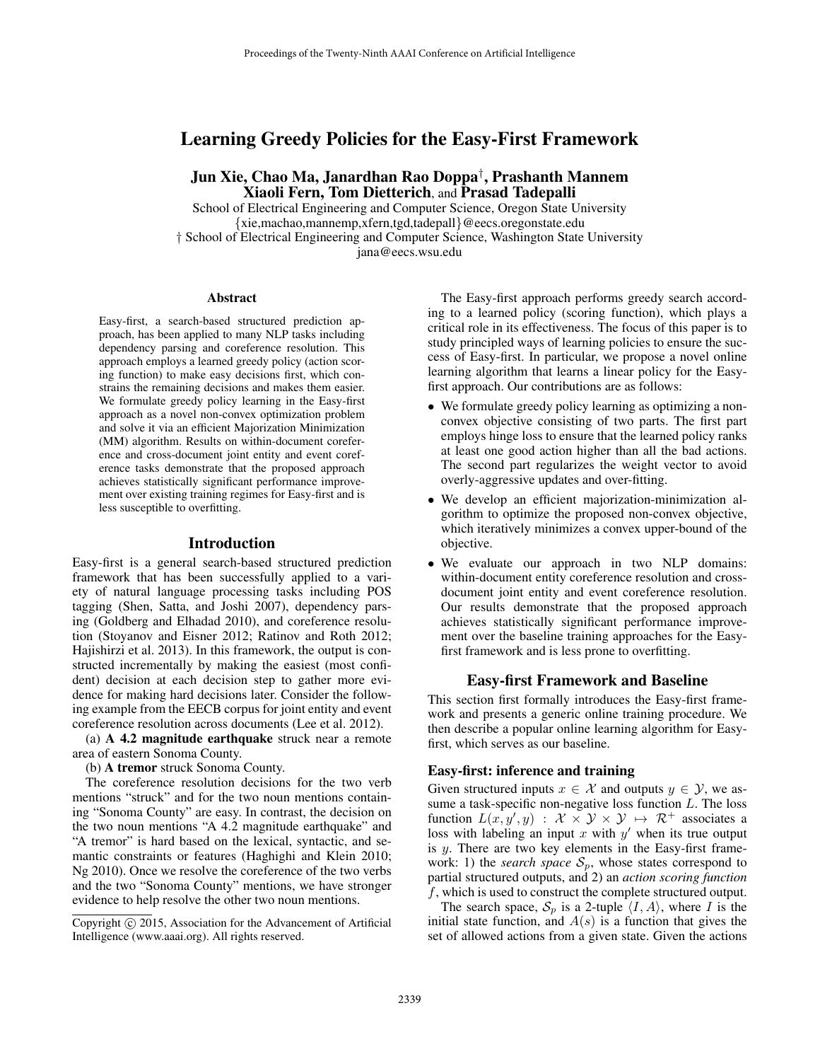# Learning Greedy Policies for the Easy-First Framework

# Jun Xie, Chao Ma, Janardhan Rao Doppa† , Prashanth Mannem Xiaoli Fern, Tom Dietterich, and Prasad Tadepalli

School of Electrical Engineering and Computer Science, Oregon State University {xie,machao,mannemp,xfern,tgd,tadepall}@eecs.oregonstate.edu † School of Electrical Engineering and Computer Science, Washington State University jana@eecs.wsu.edu

#### Abstract

Easy-first, a search-based structured prediction approach, has been applied to many NLP tasks including dependency parsing and coreference resolution. This approach employs a learned greedy policy (action scoring function) to make easy decisions first, which constrains the remaining decisions and makes them easier. We formulate greedy policy learning in the Easy-first approach as a novel non-convex optimization problem and solve it via an efficient Majorization Minimization (MM) algorithm. Results on within-document coreference and cross-document joint entity and event coreference tasks demonstrate that the proposed approach achieves statistically significant performance improvement over existing training regimes for Easy-first and is less susceptible to overfitting.

### Introduction

Easy-first is a general search-based structured prediction framework that has been successfully applied to a variety of natural language processing tasks including POS tagging (Shen, Satta, and Joshi 2007), dependency parsing (Goldberg and Elhadad 2010), and coreference resolution (Stoyanov and Eisner 2012; Ratinov and Roth 2012; Hajishirzi et al. 2013). In this framework, the output is constructed incrementally by making the easiest (most confident) decision at each decision step to gather more evidence for making hard decisions later. Consider the following example from the EECB corpus for joint entity and event coreference resolution across documents (Lee et al. 2012).

(a) A 4.2 magnitude earthquake struck near a remote area of eastern Sonoma County.

(b) A tremor struck Sonoma County.

The coreference resolution decisions for the two verb mentions "struck" and for the two noun mentions containing "Sonoma County" are easy. In contrast, the decision on the two noun mentions "A 4.2 magnitude earthquake" and "A tremor" is hard based on the lexical, syntactic, and semantic constraints or features (Haghighi and Klein 2010; Ng 2010). Once we resolve the coreference of the two verbs and the two "Sonoma County" mentions, we have stronger evidence to help resolve the other two noun mentions.

The Easy-first approach performs greedy search according to a learned policy (scoring function), which plays a critical role in its effectiveness. The focus of this paper is to study principled ways of learning policies to ensure the success of Easy-first. In particular, we propose a novel online learning algorithm that learns a linear policy for the Easyfirst approach. Our contributions are as follows:

- We formulate greedy policy learning as optimizing a nonconvex objective consisting of two parts. The first part employs hinge loss to ensure that the learned policy ranks at least one good action higher than all the bad actions. The second part regularizes the weight vector to avoid overly-aggressive updates and over-fitting.
- We develop an efficient majorization-minimization algorithm to optimize the proposed non-convex objective, which iteratively minimizes a convex upper-bound of the objective.
- We evaluate our approach in two NLP domains: within-document entity coreference resolution and crossdocument joint entity and event coreference resolution. Our results demonstrate that the proposed approach achieves statistically significant performance improvement over the baseline training approaches for the Easyfirst framework and is less prone to overfitting.

### Easy-first Framework and Baseline

This section first formally introduces the Easy-first framework and presents a generic online training procedure. We then describe a popular online learning algorithm for Easyfirst, which serves as our baseline.

## Easy-first: inference and training

Given structured inputs  $x \in \mathcal{X}$  and outputs  $y \in \mathcal{Y}$ , we assume a task-specific non-negative loss function  $L$ . The loss function  $L(x, y', y) : \mathcal{X} \times \mathcal{Y} \times \mathcal{Y} \mapsto \mathcal{R}^+$  associates a loss with labeling an input x with  $y'$  when its true output is y. There are two key elements in the Easy-first framework: 1) the *search space*  $S_p$ , whose states correspond to partial structured outputs, and 2) an *action scoring function* f, which is used to construct the complete structured output.

The search space,  $S_p$  is a 2-tuple  $\langle I, A \rangle$ , where I is the initial state function, and  $A(s)$  is a function that gives the set of allowed actions from a given state. Given the actions

Copyright (c) 2015, Association for the Advancement of Artificial Intelligence (www.aaai.org). All rights reserved.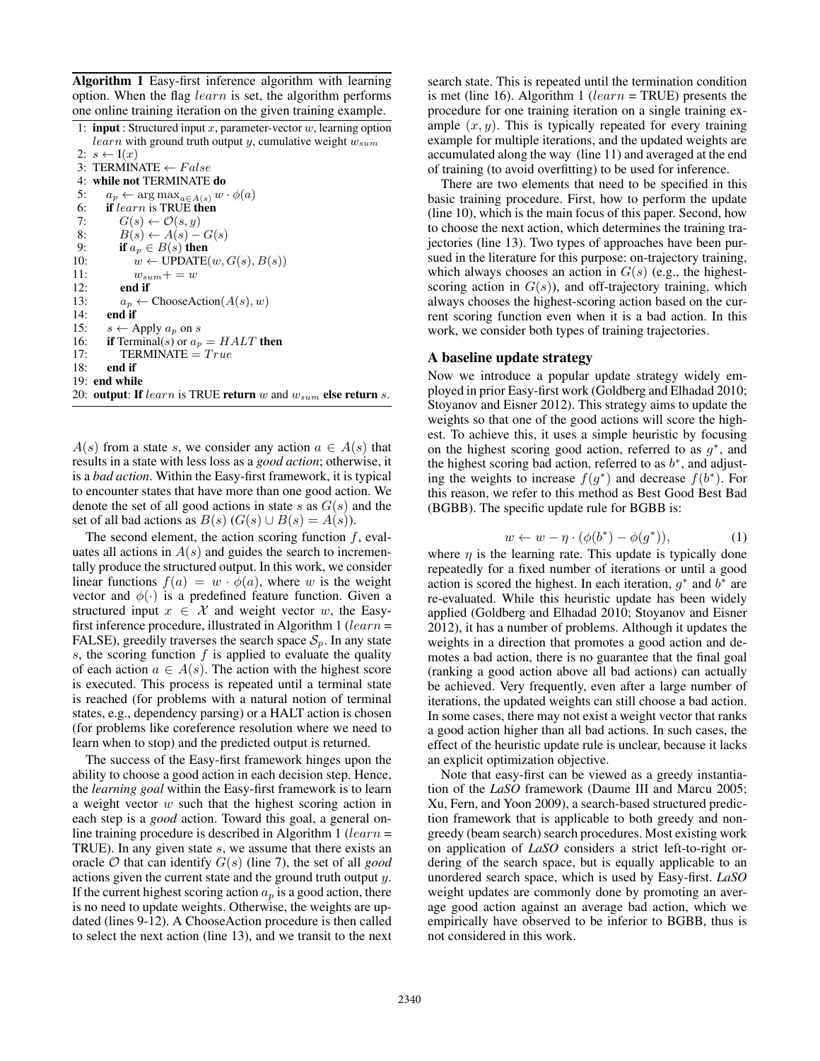Algorithm 1 Easy-first inference algorithm with learning option. When the flag learn is set, the algorithm performs

| one online training iteration on the given training example.              |  |
|---------------------------------------------------------------------------|--|
| 1: <b>input</b> : Structured input x, parameter-vector w, learning option |  |
| <i>learn</i> with ground truth output y, cumulative weight $w_{sum}$      |  |
| 2: $s \leftarrow I(x)$                                                    |  |
| 3: TERMINATE $\leftarrow False$                                           |  |
| 4: while not TERMINATE do                                                 |  |
| 5:<br>$a_p \leftarrow \arg \max_{a \in A(s)} w \cdot \phi(a)$             |  |
| <b>if</b> learn is TRUE then<br>6:                                        |  |
| $G(s) \leftarrow \mathcal{O}(s, y)$<br>7:                                 |  |
| $B(s) \leftarrow A(s) - G(s)$<br>8:                                       |  |
| if $a_n \in B(s)$ then<br>9:                                              |  |
| $w \leftarrow \text{UPDATE}(w, G(s), B(s))$<br>10:                        |  |
| 11:<br>$w_{sum} + w$                                                      |  |
| 12:<br>end if                                                             |  |
| $a_p \leftarrow \text{ChooseAction}(A(s), w)$<br>13:                      |  |
| end if<br>14:                                                             |  |
| 15:<br>$s \leftarrow$ Apply $a_p$ on s                                    |  |
| <b>if</b> Terminal(s) or $a_p = HALT$ then<br>16:                         |  |
| $TERMINATE = True$<br>17:                                                 |  |
| end if<br>18:                                                             |  |
| 19: end while                                                             |  |
| 20: output: If $learn$ is TRUE return w and $w_{sum}$ else return s.      |  |
|                                                                           |  |
|                                                                           |  |

 $A(s)$  from a state s, we consider any action  $a \in A(s)$  that results in a state with less loss as a *good action*; otherwise, it is a *bad action*. Within the Easy-first framework, it is typical to encounter states that have more than one good action. We denote the set of all good actions in state s as  $G(s)$  and the set of all bad actions as  $B(s)$  ( $G(s) \cup B(s) = A(s)$ ).

The second element, the action scoring function  $f$ , evaluates all actions in  $A(s)$  and guides the search to incrementally produce the structured output. In this work, we consider linear functions  $f(a) = w \cdot \phi(a)$ , where w is the weight vector and  $\phi(\cdot)$  is a predefined feature function. Given a structured input  $x \in \mathcal{X}$  and weight vector w, the Easyfirst inference procedure, illustrated in Algorithm 1 ( $learn =$ FALSE), greedily traverses the search space  $S_p$ . In any state s, the scoring function  $f$  is applied to evaluate the quality of each action  $a \in A(s)$ . The action with the highest score is executed. This process is repeated until a terminal state is reached (for problems with a natural notion of terminal states, e.g., dependency parsing) or a HALT action is chosen (for problems like coreference resolution where we need to learn when to stop) and the predicted output is returned.

The success of the Easy-first framework hinges upon the ability to choose a good action in each decision step. Hence, the *learning goal* within the Easy-first framework is to learn a weight vector w such that the highest scoring action in each step is a *good* action. Toward this goal, a general online training procedure is described in Algorithm 1 ( $learn =$ TRUE). In any given state s, we assume that there exists an oracle O that can identify G(s) (line 7), the set of all *good* actions given the current state and the ground truth output y. If the current highest scoring action  $a_p$  is a good action, there is no need to update weights. Otherwise, the weights are updated (lines 9-12). A ChooseAction procedure is then called to select the next action (line 13), and we transit to the next

search state. This is repeated until the termination condition is met (line 16). Algorithm 1 (*learn* = TRUE) presents the procedure for one training iteration on a single training example  $(x, y)$ . This is typically repeated for every training example for multiple iterations, and the updated weights are accumulated along the way (line 11) and averaged at the end of training (to avoid overfitting) to be used for inference.

There are two elements that need to be specified in this basic training procedure. First, how to perform the update (line 10), which is the main focus of this paper. Second, how to choose the next action, which determines the training trajectories (line 13). Two types of approaches have been pursued in the literature for this purpose: on-trajectory training, which always chooses an action in  $G(s)$  (e.g., the highestscoring action in  $G(s)$ ), and off-trajectory training, which always chooses the highest-scoring action based on the current scoring function even when it is a bad action. In this work, we consider both types of training trajectories.

## A baseline update strategy

Now we introduce a popular update strategy widely employed in prior Easy-first work (Goldberg and Elhadad 2010; Stoyanov and Eisner 2012). This strategy aims to update the weights so that one of the good actions will score the highest. To achieve this, it uses a simple heuristic by focusing on the highest scoring good action, referred to as  $g^*$ , and the highest scoring bad action, referred to as  $b^*$ , and adjusting the weights to increase  $f(g^*)$  and decrease  $f(b^*)$ . For this reason, we refer to this method as Best Good Best Bad (BGBB). The specific update rule for BGBB is:

$$
w \leftarrow w - \eta \cdot (\phi(b^*) - \phi(g^*)),\tag{1}
$$

where  $\eta$  is the learning rate. This update is typically done repeatedly for a fixed number of iterations or until a good action is scored the highest. In each iteration,  $g^*$  and  $b^*$  are re-evaluated. While this heuristic update has been widely applied (Goldberg and Elhadad 2010; Stoyanov and Eisner 2012), it has a number of problems. Although it updates the weights in a direction that promotes a good action and demotes a bad action, there is no guarantee that the final goal (ranking a good action above all bad actions) can actually be achieved. Very frequently, even after a large number of iterations, the updated weights can still choose a bad action. In some cases, there may not exist a weight vector that ranks a good action higher than all bad actions. In such cases, the effect of the heuristic update rule is unclear, because it lacks an explicit optimization objective.

Note that easy-first can be viewed as a greedy instantiation of the *LaSO* framework (Daume III and Marcu 2005; Xu, Fern, and Yoon 2009), a search-based structured prediction framework that is applicable to both greedy and nongreedy (beam search) search procedures. Most existing work on application of *LaSO* considers a strict left-to-right ordering of the search space, but is equally applicable to an unordered search space, which is used by Easy-first. *LaSO* weight updates are commonly done by promoting an average good action against an average bad action, which we empirically have observed to be inferior to BGBB, thus is not considered in this work.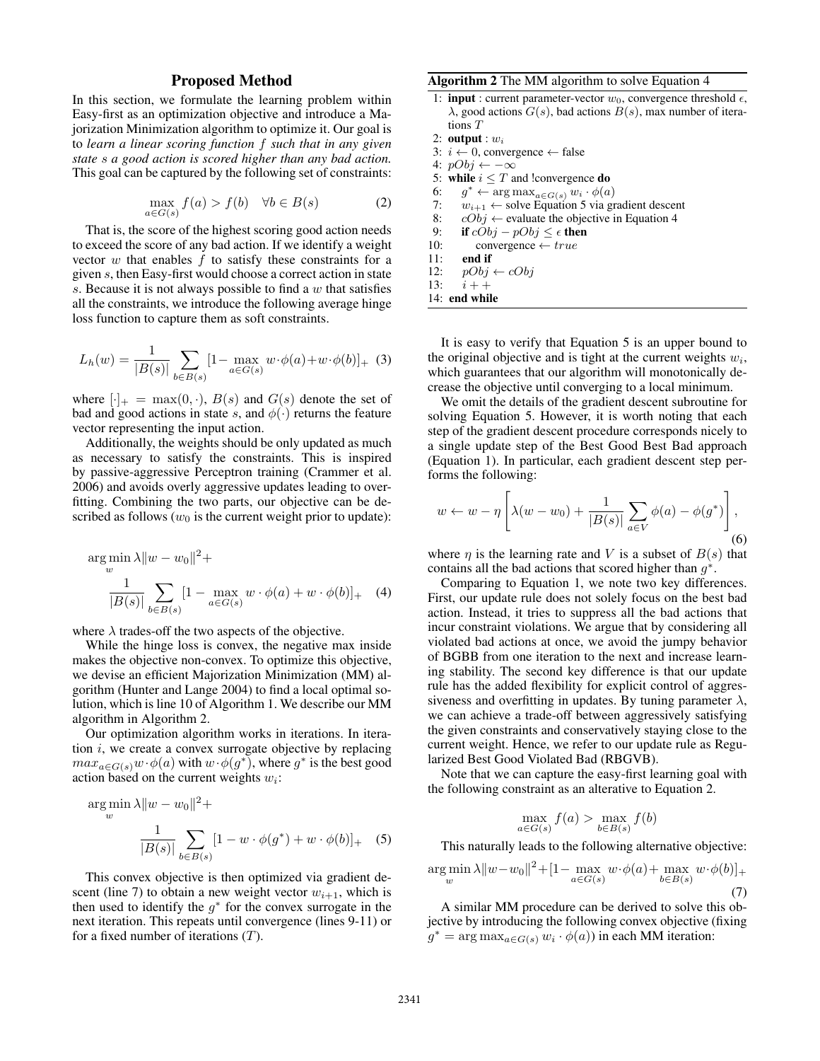## Proposed Method

In this section, we formulate the learning problem within Easy-first as an optimization objective and introduce a Majorization Minimization algorithm to optimize it. Our goal is to *learn a linear scoring function* f *such that in any given state* s *a good action is scored higher than any bad action.* This goal can be captured by the following set of constraints:

$$
\max_{a \in G(s)} f(a) > f(b) \quad \forall b \in B(s) \tag{2}
$$

That is, the score of the highest scoring good action needs to exceed the score of any bad action. If we identify a weight vector  $w$  that enables  $f$  to satisfy these constraints for a given s, then Easy-first would choose a correct action in state s. Because it is not always possible to find a  $w$  that satisfies all the constraints, we introduce the following average hinge loss function to capture them as soft constraints.

$$
L_h(w) = \frac{1}{|B(s)|} \sum_{b \in B(s)} [1 - \max_{a \in G(s)} w \cdot \phi(a) + w \cdot \phi(b)]_+ (3)
$$

where  $[\cdot]_+ = \max(0, \cdot)$ ,  $B(s)$  and  $G(s)$  denote the set of bad and good actions in state s, and  $\phi(\cdot)$  returns the feature vector representing the input action.

Additionally, the weights should be only updated as much as necessary to satisfy the constraints. This is inspired by passive-aggressive Perceptron training (Crammer et al. 2006) and avoids overly aggressive updates leading to overfitting. Combining the two parts, our objective can be described as follows ( $w_0$  is the current weight prior to update):

$$
\arg\min_{w} \lambda \|w - w_0\|^2 +
$$
  

$$
\frac{1}{|B(s)|} \sum_{b \in B(s)} [1 - \max_{a \in G(s)} w \cdot \phi(a) + w \cdot \phi(b)]_+ \quad (4)
$$

where  $\lambda$  trades-off the two aspects of the objective.

While the hinge loss is convex, the negative max inside makes the objective non-convex. To optimize this objective, we devise an efficient Majorization Minimization (MM) algorithm (Hunter and Lange 2004) to find a local optimal solution, which is line 10 of Algorithm 1. We describe our MM algorithm in Algorithm 2.

Our optimization algorithm works in iterations. In iteration  $i$ , we create a convex surrogate objective by replacing  $max_{a \in G(s)} w \cdot \phi(a)$  with  $w \cdot \phi(g^*)$ , where  $g^*$  is the best good action based on the current weights  $w_i$ :

$$
\arg\min_{w} \lambda \|w - w_0\|^2 +
$$
  

$$
\frac{1}{|B(s)|} \sum_{b \in B(s)} [1 - w \cdot \phi(g^*) + w \cdot \phi(b)]_+ \quad (5)
$$

This convex objective is then optimized via gradient descent (line 7) to obtain a new weight vector  $w_{i+1}$ , which is then used to identify the  $g^*$  for the convex surrogate in the next iteration. This repeats until convergence (lines 9-11) or for a fixed number of iterations  $(T)$ .

### Algorithm 2 The MM algorithm to solve Equation 4

- 1: **input** : current parameter-vector  $w_0$ , convergence threshold  $\epsilon$ ,  $\lambda$ , good actions  $G(s)$ , bad actions  $B(s)$ , max number of iterations T
- 2: output :  $w_i$
- 3:  $i \leftarrow 0$ , convergence ← false
- 4:  $pObj \leftarrow -\infty$
- 5: while  $i \leq T$  and !convergence **do**
- 6:  $g^* \leftarrow \arg \max_{a \in G(s)} w_i \cdot \phi(a)$
- 7:  $w_{i+1} \leftarrow$  solve Equation 5 via gradient descent<br>8:  $cObj \leftarrow$  evaluate the objective in Equation 4
- $cObj \leftarrow$  evaluate the objective in Equation 4
- 9: **if**  $cObj pObj \leq \epsilon$  **then**<br>10: **convergence**  $\leftarrow true$  $convergence \leftarrow true$
- 11: end if
- 12:  $pObj \leftarrow cObj$
- 13:  $i + +$
- 14: end while

It is easy to verify that Equation 5 is an upper bound to the original objective and is tight at the current weights  $w_i$ , which guarantees that our algorithm will monotonically decrease the objective until converging to a local minimum.

We omit the details of the gradient descent subroutine for solving Equation 5. However, it is worth noting that each step of the gradient descent procedure corresponds nicely to a single update step of the Best Good Best Bad approach (Equation 1). In particular, each gradient descent step performs the following:

$$
w \leftarrow w - \eta \left[ \lambda (w - w_0) + \frac{1}{|B(s)|} \sum_{a \in V} \phi(a) - \phi(g^*) \right],
$$
\n(6)

where  $\eta$  is the learning rate and V is a subset of  $B(s)$  that contains all the bad actions that scored higher than  $g^*$ .

Comparing to Equation 1, we note two key differences. First, our update rule does not solely focus on the best bad action. Instead, it tries to suppress all the bad actions that incur constraint violations. We argue that by considering all violated bad actions at once, we avoid the jumpy behavior of BGBB from one iteration to the next and increase learning stability. The second key difference is that our update rule has the added flexibility for explicit control of aggressiveness and overfitting in updates. By tuning parameter  $\lambda$ , we can achieve a trade-off between aggressively satisfying the given constraints and conservatively staying close to the current weight. Hence, we refer to our update rule as Regularized Best Good Violated Bad (RBGVB).

Note that we can capture the easy-first learning goal with the following constraint as an alterative to Equation 2.

$$
\max_{a \in G(s)} f(a) > \max_{b \in B(s)} f(b)
$$

This naturally leads to the following alternative objective:

$$
\underset{w}{\arg\min} \lambda \|w - w_0\|^2 + [1 - \max_{a \in G(s)} w \cdot \phi(a) + \max_{b \in B(s)} w \cdot \phi(b)]_+ \tag{7}
$$

A similar MM procedure can be derived to solve this objective by introducing the following convex objective (fixing  $g^* = \arg \max_{a \in G(s)} w_i \cdot \phi(a)$  in each MM iteration: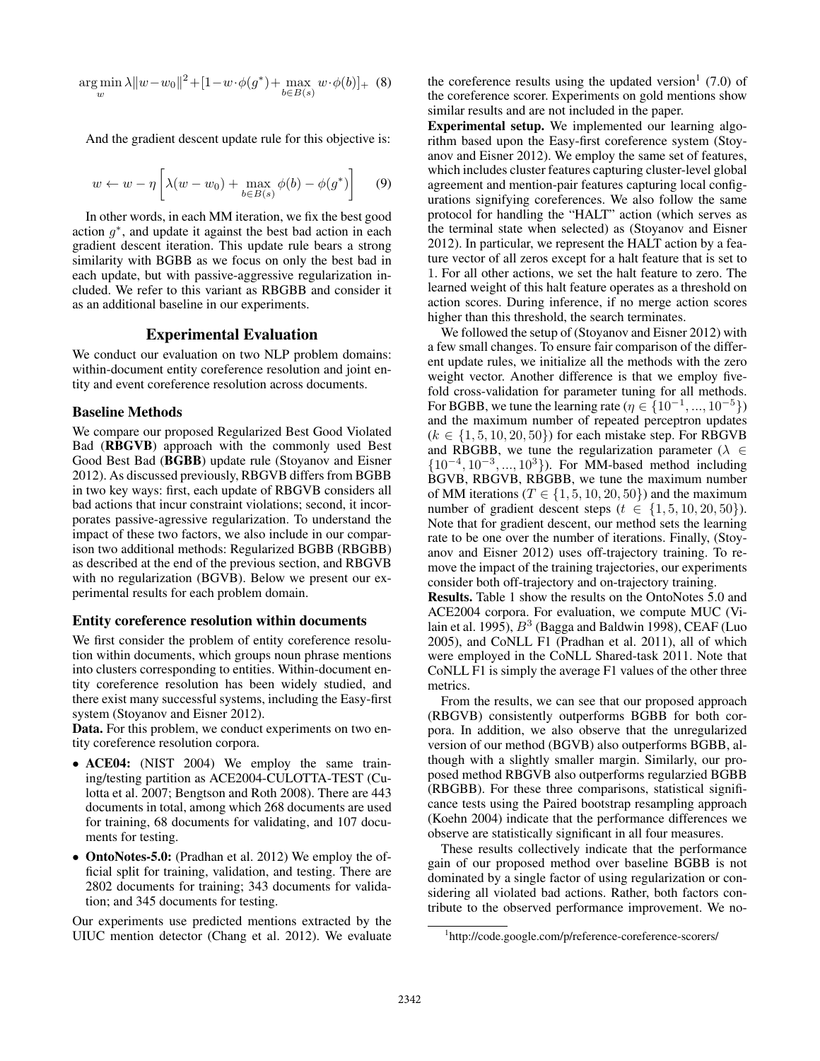$$
\underset{w}{\arg\min} \lambda \|w - w_0\|^2 + [1 - w \cdot \phi(g^*) + \max_{b \in B(s)} w \cdot \phi(b)]_+ \tag{8}
$$

And the gradient descent update rule for this objective is:

$$
w \leftarrow w - \eta \left[ \lambda (w - w_0) + \max_{b \in B(s)} \phi(b) - \phi(g^*) \right] \tag{9}
$$

In other words, in each MM iteration, we fix the best good action  $g^*$ , and update it against the best bad action in each gradient descent iteration. This update rule bears a strong similarity with BGBB as we focus on only the best bad in each update, but with passive-aggressive regularization included. We refer to this variant as RBGBB and consider it as an additional baseline in our experiments.

### Experimental Evaluation

We conduct our evaluation on two NLP problem domains: within-document entity coreference resolution and joint entity and event coreference resolution across documents.

### Baseline Methods

We compare our proposed Regularized Best Good Violated Bad (RBGVB) approach with the commonly used Best Good Best Bad (BGBB) update rule (Stoyanov and Eisner 2012). As discussed previously, RBGVB differs from BGBB in two key ways: first, each update of RBGVB considers all bad actions that incur constraint violations; second, it incorporates passive-agressive regularization. To understand the impact of these two factors, we also include in our comparison two additional methods: Regularized BGBB (RBGBB) as described at the end of the previous section, and RBGVB with no regularization (BGVB). Below we present our experimental results for each problem domain.

#### Entity coreference resolution within documents

We first consider the problem of entity coreference resolution within documents, which groups noun phrase mentions into clusters corresponding to entities. Within-document entity coreference resolution has been widely studied, and there exist many successful systems, including the Easy-first system (Stoyanov and Eisner 2012).

Data. For this problem, we conduct experiments on two entity coreference resolution corpora.

- ACE04: (NIST 2004) We employ the same training/testing partition as ACE2004-CULOTTA-TEST (Culotta et al. 2007; Bengtson and Roth 2008). There are 443 documents in total, among which 268 documents are used for training, 68 documents for validating, and 107 documents for testing.
- OntoNotes-5.0: (Pradhan et al. 2012) We employ the official split for training, validation, and testing. There are 2802 documents for training; 343 documents for validation; and 345 documents for testing.

Our experiments use predicted mentions extracted by the UIUC mention detector (Chang et al. 2012). We evaluate

the coreference results using the updated version<sup>1</sup> (7.0) of the coreference scorer. Experiments on gold mentions show similar results and are not included in the paper.

Experimental setup. We implemented our learning algorithm based upon the Easy-first coreference system (Stoyanov and Eisner 2012). We employ the same set of features, which includes cluster features capturing cluster-level global agreement and mention-pair features capturing local configurations signifying coreferences. We also follow the same protocol for handling the "HALT" action (which serves as the terminal state when selected) as (Stoyanov and Eisner 2012). In particular, we represent the HALT action by a feature vector of all zeros except for a halt feature that is set to 1. For all other actions, we set the halt feature to zero. The learned weight of this halt feature operates as a threshold on action scores. During inference, if no merge action scores higher than this threshold, the search terminates.

We followed the setup of (Stoyanov and Eisner 2012) with a few small changes. To ensure fair comparison of the different update rules, we initialize all the methods with the zero weight vector. Another difference is that we employ fivefold cross-validation for parameter tuning for all methods. For BGBB, we tune the learning rate ( $\eta \in \{10^{-1}, ..., 10^{-5}\}\$ ) and the maximum number of repeated perceptron updates  $(k \in \{1, 5, 10, 20, 50\})$  for each mistake step. For RBGVB and RBGBB, we tune the regularization parameter ( $\lambda \in$  $\{10^{-4}, 10^{-3}, ..., 10^{3}\}\)$ . For MM-based method including BGVB, RBGVB, RBGBB, we tune the maximum number of MM iterations ( $T \in \{1, 5, 10, 20, 50\}$ ) and the maximum number of gradient descent steps  $(t \in \{1, 5, 10, 20, 50\})$ . Note that for gradient descent, our method sets the learning rate to be one over the number of iterations. Finally, (Stoyanov and Eisner 2012) uses off-trajectory training. To remove the impact of the training trajectories, our experiments consider both off-trajectory and on-trajectory training.

Results. Table 1 show the results on the OntoNotes 5.0 and ACE2004 corpora. For evaluation, we compute MUC (Vilain et al. 1995),  $B^3$  (Bagga and Baldwin 1998), CEAF (Luo 2005), and CoNLL F1 (Pradhan et al. 2011), all of which were employed in the CoNLL Shared-task 2011. Note that CoNLL F1 is simply the average F1 values of the other three metrics.

From the results, we can see that our proposed approach (RBGVB) consistently outperforms BGBB for both corpora. In addition, we also observe that the unregularized version of our method (BGVB) also outperforms BGBB, although with a slightly smaller margin. Similarly, our proposed method RBGVB also outperforms regularzied BGBB (RBGBB). For these three comparisons, statistical significance tests using the Paired bootstrap resampling approach (Koehn 2004) indicate that the performance differences we observe are statistically significant in all four measures.

These results collectively indicate that the performance gain of our proposed method over baseline BGBB is not dominated by a single factor of using regularization or considering all violated bad actions. Rather, both factors contribute to the observed performance improvement. We no-

<sup>1</sup> http://code.google.com/p/reference-coreference-scorers/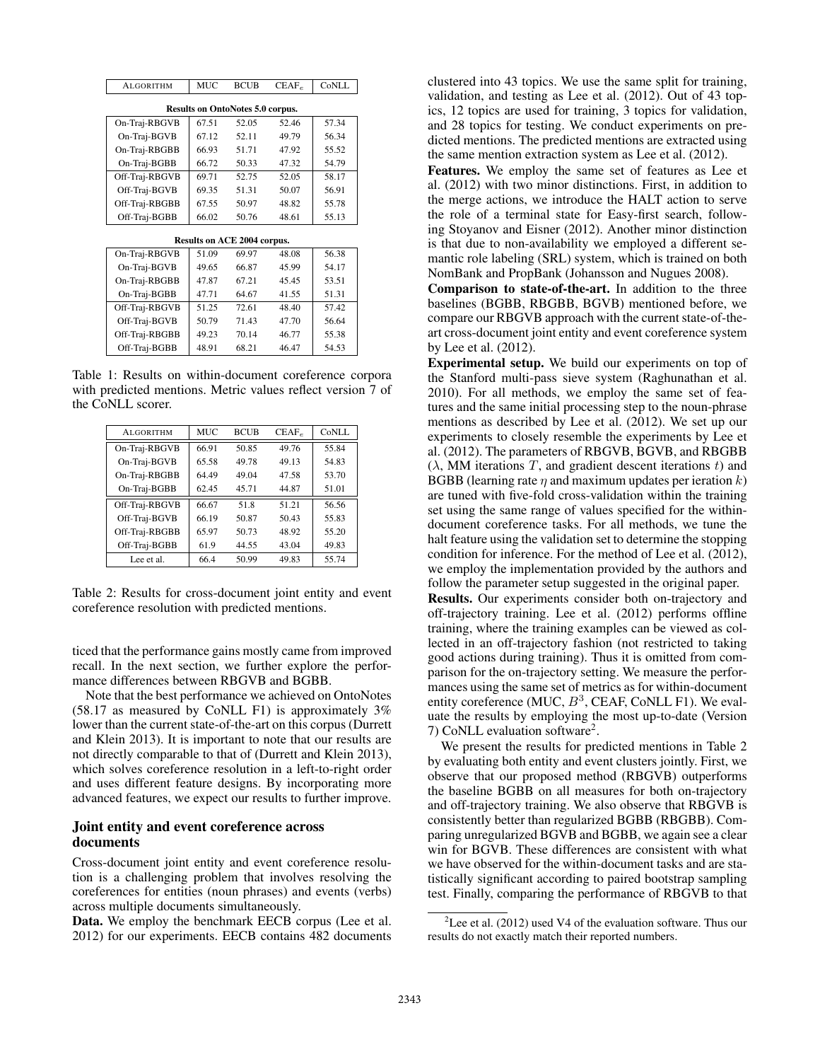| <b>ALGORITHM</b>                        | <b>MUC</b> | <b>BCUB</b> | $CEAF_e$ | CoNLL |  |
|-----------------------------------------|------------|-------------|----------|-------|--|
| <b>Results on OntoNotes 5.0 corpus.</b> |            |             |          |       |  |
|                                         |            |             |          |       |  |
| On-Traj-RBGVB                           | 67.51      | 52.05       | 52.46    | 57.34 |  |
| On-Traj-BGVB                            | 67.12      | 52.11       | 49.79    | 56.34 |  |
| On-Traj-RBGBB                           | 66.93      | 51.71       | 47.92    | 55.52 |  |
| On-Traj-BGBB                            | 66.72      | 50.33       | 47.32    | 54.79 |  |
| Off-Traj-RBGVB                          | 69.71      | 52.75       | 52.05    | 58.17 |  |
| Off-Traj-BGVB                           | 69.35      | 51.31       | 50.07    | 56.91 |  |
| Off-Traj-RBGBB                          | 67.55      | 50.97       | 48.82    | 55.78 |  |
| Off-Traj-BGBB                           | 66.02      | 50.76       | 48.61    | 55.13 |  |
|                                         |            |             |          |       |  |
| <b>Results on ACE 2004 corpus.</b>      |            |             |          |       |  |
| On-Traj-RBGVB                           | 51.09      | 69.97       | 48.08    | 56.38 |  |
| On-Traj-BGVB                            | 49.65      | 66.87       | 45.99    | 54.17 |  |
| On-Traj-RBGBB                           | 47.87      | 67.21       | 45.45    | 53.51 |  |
| On-Traj-BGBB                            | 47.71      | 64.67       | 41.55    | 51.31 |  |
| Off-Traj-RBGVB                          | 51.25      | 72.61       | 48.40    | 57.42 |  |
| Off-Traj-BGVB                           | 50.79      | 71.43       | 47.70    | 56.64 |  |
| Off-Traj-RBGBB                          | 49.23      | 70.14       | 46.77    | 55.38 |  |
| Off-Traj-BGBB                           | 48.91      | 68.21       | 46.47    | 54.53 |  |

Table 1: Results on within-document coreference corpora with predicted mentions. Metric values reflect version 7 of the CoNLL scorer.

| <b>ALGORITHM</b> | <b>MUC</b> | <b>BCUB</b> | $CEAF_e$ | CoNLL |
|------------------|------------|-------------|----------|-------|
| On-Traj-RBGVB    | 66.91      | 50.85       | 49.76    | 55.84 |
| On-Traj-BGVB     | 65.58      | 49.78       | 49.13    | 54.83 |
| On-Traj-RBGBB    | 64.49      | 49.04       | 47.58    | 53.70 |
| On-Traj-BGBB     | 62.45      | 45.71       | 44.87    | 51.01 |
| Off-Traj-RBGVB   | 66.67      | 51.8        | 51.21    | 56.56 |
| Off-Traj-BGVB    | 66.19      | 50.87       | 50.43    | 55.83 |
| Off-Traj-RBGBB   | 65.97      | 50.73       | 48.92    | 55.20 |
| Off-Traj-BGBB    | 61.9       | 44.55       | 43.04    | 49.83 |
| Lee et al.       | 66.4       | 50.99       | 49.83    | 55.74 |

Table 2: Results for cross-document joint entity and event coreference resolution with predicted mentions.

ticed that the performance gains mostly came from improved recall. In the next section, we further explore the performance differences between RBGVB and BGBB.

Note that the best performance we achieved on OntoNotes (58.17 as measured by CoNLL F1) is approximately 3% lower than the current state-of-the-art on this corpus (Durrett and Klein 2013). It is important to note that our results are not directly comparable to that of (Durrett and Klein 2013), which solves coreference resolution in a left-to-right order and uses different feature designs. By incorporating more advanced features, we expect our results to further improve.

### Joint entity and event coreference across documents

Cross-document joint entity and event coreference resolution is a challenging problem that involves resolving the coreferences for entities (noun phrases) and events (verbs) across multiple documents simultaneously.

Data. We employ the benchmark EECB corpus (Lee et al. 2012) for our experiments. EECB contains 482 documents

clustered into 43 topics. We use the same split for training, validation, and testing as Lee et al. (2012). Out of 43 topics, 12 topics are used for training, 3 topics for validation, and 28 topics for testing. We conduct experiments on predicted mentions. The predicted mentions are extracted using the same mention extraction system as Lee et al. (2012).

Features. We employ the same set of features as Lee et al. (2012) with two minor distinctions. First, in addition to the merge actions, we introduce the HALT action to serve the role of a terminal state for Easy-first search, following Stoyanov and Eisner (2012). Another minor distinction is that due to non-availability we employed a different semantic role labeling (SRL) system, which is trained on both NomBank and PropBank (Johansson and Nugues 2008).

Comparison to state-of-the-art. In addition to the three baselines (BGBB, RBGBB, BGVB) mentioned before, we compare our RBGVB approach with the current state-of-theart cross-document joint entity and event coreference system by Lee et al. (2012).

Experimental setup. We build our experiments on top of the Stanford multi-pass sieve system (Raghunathan et al. 2010). For all methods, we employ the same set of features and the same initial processing step to the noun-phrase mentions as described by Lee et al. (2012). We set up our experiments to closely resemble the experiments by Lee et al. (2012). The parameters of RBGVB, BGVB, and RBGBB  $(\lambda, MM$  iterations T, and gradient descent iterations t) and BGBB (learning rate  $\eta$  and maximum updates per ieration k) are tuned with five-fold cross-validation within the training set using the same range of values specified for the withindocument coreference tasks. For all methods, we tune the halt feature using the validation set to determine the stopping condition for inference. For the method of Lee et al. (2012), we employ the implementation provided by the authors and follow the parameter setup suggested in the original paper.

Results. Our experiments consider both on-trajectory and off-trajectory training. Lee et al. (2012) performs offline training, where the training examples can be viewed as collected in an off-trajectory fashion (not restricted to taking good actions during training). Thus it is omitted from comparison for the on-trajectory setting. We measure the performances using the same set of metrics as for within-document entity coreference (MUC,  $B^3$ , CEAF, CoNLL F1). We evaluate the results by employing the most up-to-date (Version 7) CoNLL evaluation software<sup>2</sup>.

We present the results for predicted mentions in Table 2 by evaluating both entity and event clusters jointly. First, we observe that our proposed method (RBGVB) outperforms the baseline BGBB on all measures for both on-trajectory and off-trajectory training. We also observe that RBGVB is consistently better than regularized BGBB (RBGBB). Comparing unregularized BGVB and BGBB, we again see a clear win for BGVB. These differences are consistent with what we have observed for the within-document tasks and are statistically significant according to paired bootstrap sampling test. Finally, comparing the performance of RBGVB to that

<sup>&</sup>lt;sup>2</sup> Lee et al. (2012) used V4 of the evaluation software. Thus our results do not exactly match their reported numbers.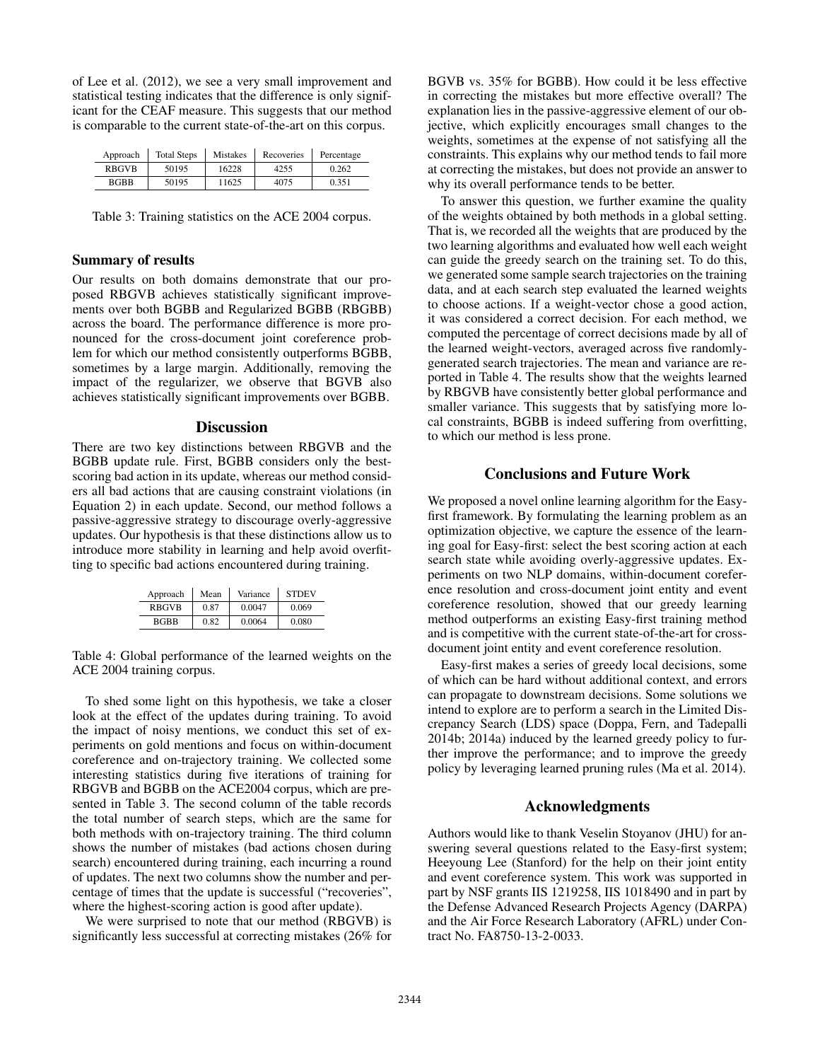of Lee et al. (2012), we see a very small improvement and statistical testing indicates that the difference is only significant for the CEAF measure. This suggests that our method is comparable to the current state-of-the-art on this corpus.

| Approach     | <b>Total Steps</b> | <b>Mistakes</b> | Recoveries | Percentage |
|--------------|--------------------|-----------------|------------|------------|
| <b>RBGVB</b> | 50195              | 16228           | 4255       | 0.262      |
| <b>BGBB</b>  | 50195              | 11625           | 4075       | 0.351      |

Table 3: Training statistics on the ACE 2004 corpus.

### Summary of results

Our results on both domains demonstrate that our proposed RBGVB achieves statistically significant improvements over both BGBB and Regularized BGBB (RBGBB) across the board. The performance difference is more pronounced for the cross-document joint coreference problem for which our method consistently outperforms BGBB, sometimes by a large margin. Additionally, removing the impact of the regularizer, we observe that BGVB also achieves statistically significant improvements over BGBB.

## **Discussion**

There are two key distinctions between RBGVB and the BGBB update rule. First, BGBB considers only the bestscoring bad action in its update, whereas our method considers all bad actions that are causing constraint violations (in Equation 2) in each update. Second, our method follows a passive-aggressive strategy to discourage overly-aggressive updates. Our hypothesis is that these distinctions allow us to introduce more stability in learning and help avoid overfitting to specific bad actions encountered during training.

| Approach     | Mean | Variance | <b>STDEV</b> |
|--------------|------|----------|--------------|
| <b>RBGVB</b> | 0.87 | 0.0047   | 0.069        |
| <b>BGBB</b>  | 0.82 | 0.0064   | 0.080        |

Table 4: Global performance of the learned weights on the ACE 2004 training corpus.

To shed some light on this hypothesis, we take a closer look at the effect of the updates during training. To avoid the impact of noisy mentions, we conduct this set of experiments on gold mentions and focus on within-document coreference and on-trajectory training. We collected some interesting statistics during five iterations of training for RBGVB and BGBB on the ACE2004 corpus, which are presented in Table 3. The second column of the table records the total number of search steps, which are the same for both methods with on-trajectory training. The third column shows the number of mistakes (bad actions chosen during search) encountered during training, each incurring a round of updates. The next two columns show the number and percentage of times that the update is successful ("recoveries", where the highest-scoring action is good after update).

We were surprised to note that our method (RBGVB) is significantly less successful at correcting mistakes (26% for

BGVB vs. 35% for BGBB). How could it be less effective in correcting the mistakes but more effective overall? The explanation lies in the passive-aggressive element of our objective, which explicitly encourages small changes to the weights, sometimes at the expense of not satisfying all the constraints. This explains why our method tends to fail more at correcting the mistakes, but does not provide an answer to why its overall performance tends to be better.

To answer this question, we further examine the quality of the weights obtained by both methods in a global setting. That is, we recorded all the weights that are produced by the two learning algorithms and evaluated how well each weight can guide the greedy search on the training set. To do this, we generated some sample search trajectories on the training data, and at each search step evaluated the learned weights to choose actions. If a weight-vector chose a good action, it was considered a correct decision. For each method, we computed the percentage of correct decisions made by all of the learned weight-vectors, averaged across five randomlygenerated search trajectories. The mean and variance are reported in Table 4. The results show that the weights learned by RBGVB have consistently better global performance and smaller variance. This suggests that by satisfying more local constraints, BGBB is indeed suffering from overfitting, to which our method is less prone.

## Conclusions and Future Work

We proposed a novel online learning algorithm for the Easyfirst framework. By formulating the learning problem as an optimization objective, we capture the essence of the learning goal for Easy-first: select the best scoring action at each search state while avoiding overly-aggressive updates. Experiments on two NLP domains, within-document coreference resolution and cross-document joint entity and event coreference resolution, showed that our greedy learning method outperforms an existing Easy-first training method and is competitive with the current state-of-the-art for crossdocument joint entity and event coreference resolution.

Easy-first makes a series of greedy local decisions, some of which can be hard without additional context, and errors can propagate to downstream decisions. Some solutions we intend to explore are to perform a search in the Limited Discrepancy Search (LDS) space (Doppa, Fern, and Tadepalli 2014b; 2014a) induced by the learned greedy policy to further improve the performance; and to improve the greedy policy by leveraging learned pruning rules (Ma et al. 2014).

## Acknowledgments

Authors would like to thank Veselin Stoyanov (JHU) for answering several questions related to the Easy-first system; Heeyoung Lee (Stanford) for the help on their joint entity and event coreference system. This work was supported in part by NSF grants IIS 1219258, IIS 1018490 and in part by the Defense Advanced Research Projects Agency (DARPA) and the Air Force Research Laboratory (AFRL) under Contract No. FA8750-13-2-0033.